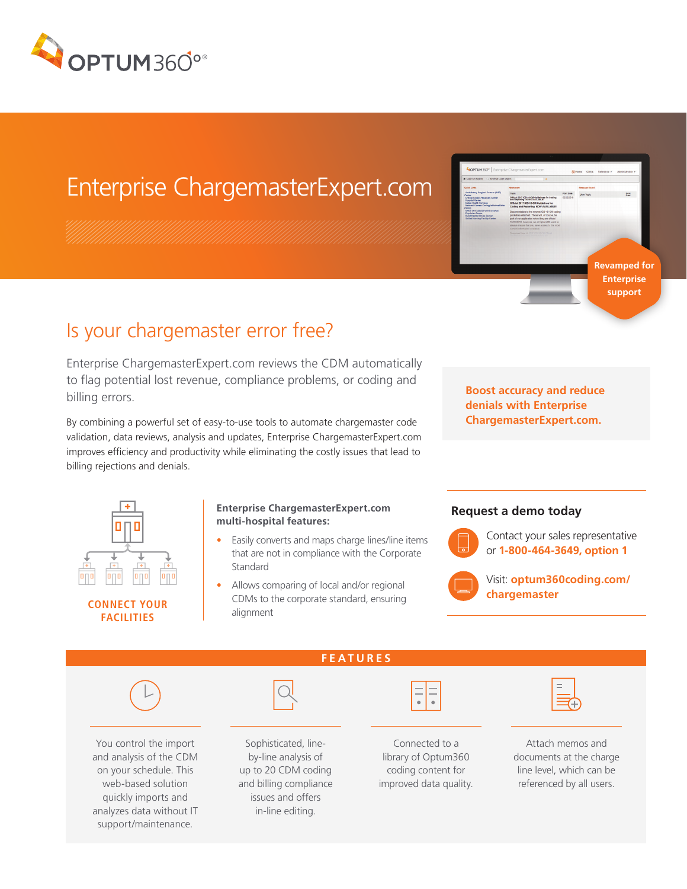

## Enterprise ChargemasterExpert.com

# Post **Revamped for Enterprise support**

### Is your chargemaster error free?

Enterprise ChargemasterExpert.com reviews the CDM automatically to flag potential lost revenue, compliance problems, or coding and billing errors.

By combining a powerful set of easy-to-use tools to automate chargemaster code validation, data reviews, analysis and updates, Enterprise ChargemasterExpert.com improves efficiency and productivity while eliminating the costly issues that lead to billing rejections and denials.

**Boost accuracy and reduce denials with Enterprise ChargemasterExpert.com.**



#### **Enterprise ChargemasterExpert.com multi-hospital features:**

- Easily converts and maps charge lines/line items that are not in compliance with the Corporate **Standard**
- Allows comparing of local and/or regional CDMs to the corporate standard, ensuring

#### **Request a demo today**



Contact your sales representative or **1-800-464-3649, option 1**



Visit: **optum360coding.com/ chargemaster**



and analysis of the CDM on your schedule. This web-based solution quickly imports and analyzes data without IT support/maintenance.

by-line analysis of up to 20 CDM coding and billing compliance issues and offers in-line editing.

coding content for

improved data quality.

documents at the charge line level, which can be referenced by all users.